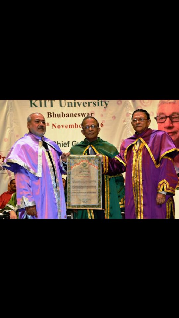